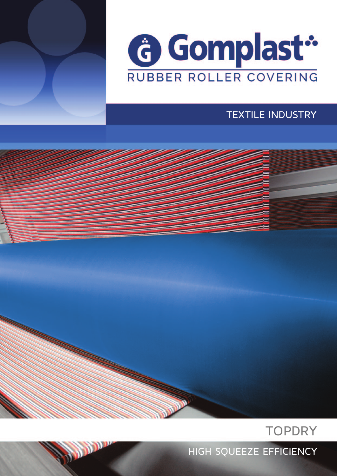



#### TEXTILE INDUSTRY



HIGH SQUEEZE EFFICIENCY